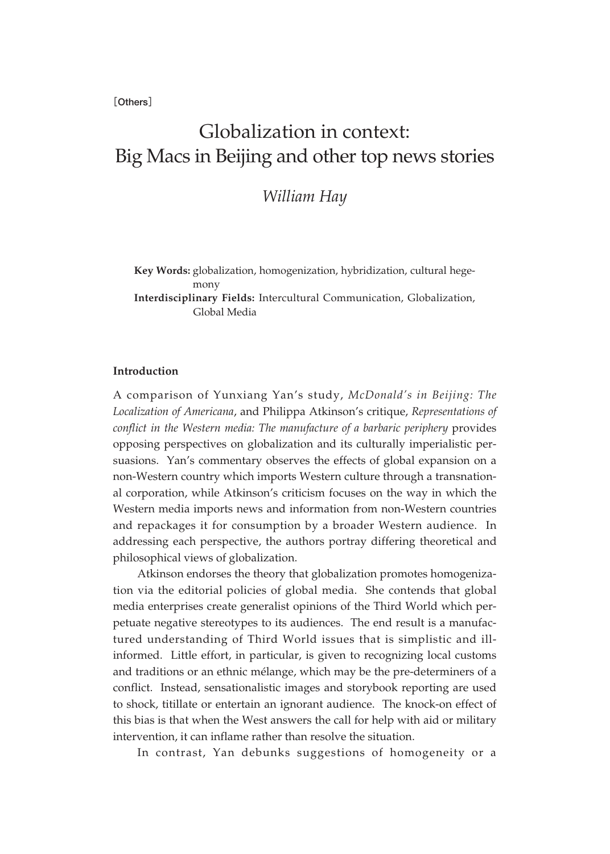**[Others]**

# Globalization in context: Big Macs in Beijing and other top news stories

# *William Hay*

**Key Words:** globalization, homogenization, hybridization, cultural hegemony **Interdisciplinary Fields:** Intercultural Communication, Globalization, Global Media

## **Introduction**

A comparison of Yunxiang Yan's study, *McDonald's in Beijing: The Localization of Americana*, and Philippa Atkinson's critique, *Representations of conflict in the Western media: The manufacture of a barbaric periphery* provides opposing perspectives on globalization and its culturally imperialistic persuasions. Yan's commentary observes the effects of global expansion on a non-Western country which imports Western culture through a transnational corporation, while Atkinson's criticism focuses on the way in which the Western media imports news and information from non-Western countries and repackages it for consumption by a broader Western audience. In addressing each perspective, the authors portray differing theoretical and philosophical views of globalization.

Atkinson endorses the theory that globalization promotes homogenization via the editorial policies of global media. She contends that global media enterprises create generalist opinions of the Third World which perpetuate negative stereotypes to its audiences. The end result is a manufactured understanding of Third World issues that is simplistic and illinformed. Little effort, in particular, is given to recognizing local customs and traditions or an ethnic mélange, which may be the pre-determiners of a conflict. Instead, sensationalistic images and storybook reporting are used to shock, titillate or entertain an ignorant audience. The knock-on effect of this bias is that when the West answers the call for help with aid or military intervention, it can inflame rather than resolve the situation.

In contrast, Yan debunks suggestions of homogeneity or a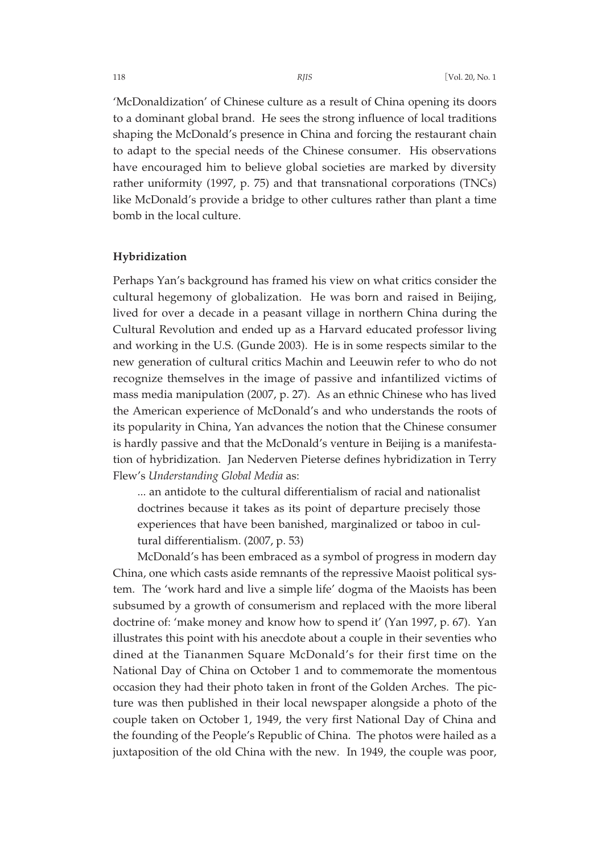'McDonaldization' of Chinese culture as a result of China opening its doors to a dominant global brand. He sees the strong influence of local traditions shaping the McDonald's presence in China and forcing the restaurant chain to adapt to the special needs of the Chinese consumer. His observations have encouraged him to believe global societies are marked by diversity rather uniformity (1997, p. 75) and that transnational corporations (TNCs) like McDonald's provide a bridge to other cultures rather than plant a time bomb in the local culture.

#### **Hybridization**

Perhaps Yan's background has framed his view on what critics consider the cultural hegemony of globalization. He was born and raised in Beijing, lived for over a decade in a peasant village in northern China during the Cultural Revolution and ended up as a Harvard educated professor living and working in the U.S. (Gunde 2003). He is in some respects similar to the new generation of cultural critics Machin and Leeuwin refer to who do not recognize themselves in the image of passive and infantilized victims of mass media manipulation (2007, p. 27). As an ethnic Chinese who has lived the American experience of McDonald's and who understands the roots of its popularity in China, Yan advances the notion that the Chinese consumer is hardly passive and that the McDonald's venture in Beijing is a manifestation of hybridization. Jan Nederven Pieterse defines hybridization in Terry Flew's *Understanding Global Media* as:

... an antidote to the cultural differentialism of racial and nationalist doctrines because it takes as its point of departure precisely those experiences that have been banished, marginalized or taboo in cultural differentialism. (2007, p. 53)

McDonald's has been embraced as a symbol of progress in modern day China, one which casts aside remnants of the repressive Maoist political system. The 'work hard and live a simple life' dogma of the Maoists has been subsumed by a growth of consumerism and replaced with the more liberal doctrine of: 'make money and know how to spend it' (Yan 1997, p. 67). Yan illustrates this point with his anecdote about a couple in their seventies who dined at the Tiananmen Square McDonald's for their first time on the National Day of China on October 1 and to commemorate the momentous occasion they had their photo taken in front of the Golden Arches. The picture was then published in their local newspaper alongside a photo of the couple taken on October 1, 1949, the very first National Day of China and the founding of the People's Republic of China. The photos were hailed as a juxtaposition of the old China with the new. In 1949, the couple was poor,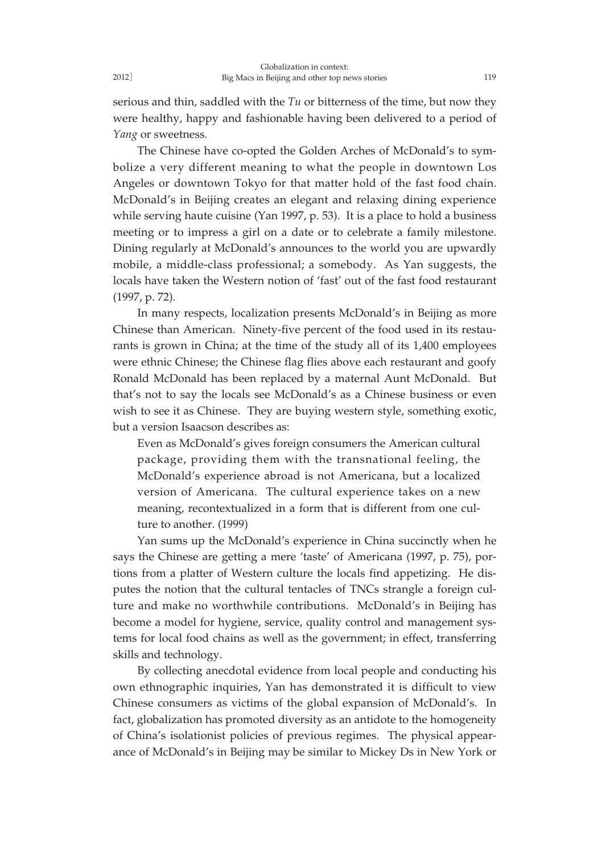serious and thin, saddled with the *Tu* or bitterness of the time, but now they were healthy, happy and fashionable having been delivered to a period of *Yang* or sweetness.

The Chinese have co-opted the Golden Arches of McDonald's to symbolize a very different meaning to what the people in downtown Los Angeles or downtown Tokyo for that matter hold of the fast food chain. McDonald's in Beijing creates an elegant and relaxing dining experience while serving haute cuisine (Yan 1997, p. 53). It is a place to hold a business meeting or to impress a girl on a date or to celebrate a family milestone. Dining regularly at McDonald's announces to the world you are upwardly mobile, a middle-class professional; a somebody. As Yan suggests, the locals have taken the Western notion of 'fast' out of the fast food restaurant (1997, p. 72).

In many respects, localization presents McDonald's in Beijing as more Chinese than American. Ninety-five percent of the food used in its restaurants is grown in China; at the time of the study all of its 1,400 employees were ethnic Chinese; the Chinese flag flies above each restaurant and goofy Ronald McDonald has been replaced by a maternal Aunt McDonald. But that's not to say the locals see McDonald's as a Chinese business or even wish to see it as Chinese. They are buying western style, something exotic, but a version Isaacson describes as:

Even as McDonald's gives foreign consumers the American cultural package, providing them with the transnational feeling, the McDonald's experience abroad is not Americana, but a localized version of Americana. The cultural experience takes on a new meaning, recontextualized in a form that is different from one culture to another. (1999)

Yan sums up the McDonald's experience in China succinctly when he says the Chinese are getting a mere 'taste' of Americana (1997, p. 75), portions from a platter of Western culture the locals find appetizing. He disputes the notion that the cultural tentacles of TNCs strangle a foreign culture and make no worthwhile contributions. McDonald's in Beijing has become a model for hygiene, service, quality control and management systems for local food chains as well as the government; in effect, transferring skills and technology.

By collecting anecdotal evidence from local people and conducting his own ethnographic inquiries, Yan has demonstrated it is difficult to view Chinese consumers as victims of the global expansion of McDonald's. In fact, globalization has promoted diversity as an antidote to the homogeneity of China's isolationist policies of previous regimes. The physical appearance of McDonald's in Beijing may be similar to Mickey Ds in New York or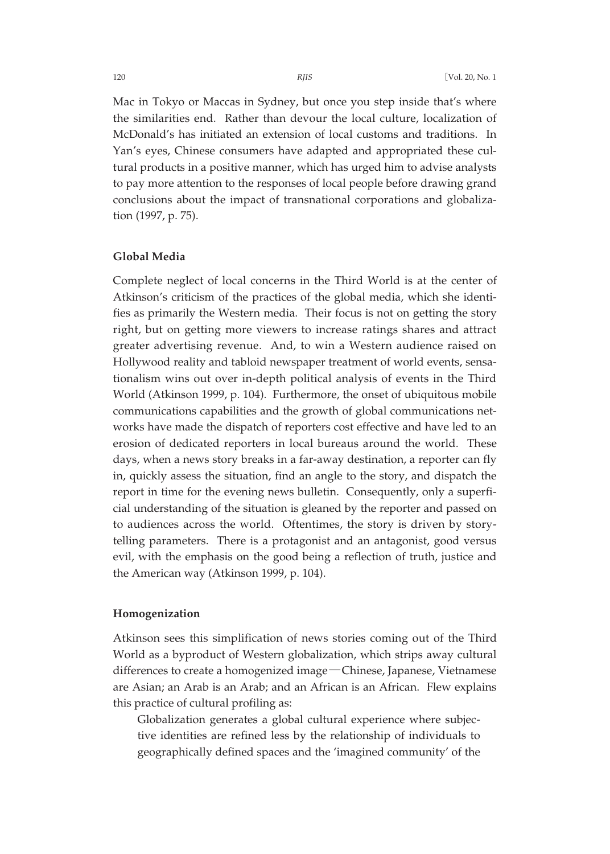Mac in Tokyo or Maccas in Sydney, but once you step inside that's where the similarities end. Rather than devour the local culture, localization of McDonald's has initiated an extension of local customs and traditions. In Yan's eyes, Chinese consumers have adapted and appropriated these cultural products in a positive manner, which has urged him to advise analysts to pay more attention to the responses of local people before drawing grand conclusions about the impact of transnational corporations and globalization (1997, p. 75).

#### **Global Media**

Complete neglect of local concerns in the Third World is at the center of Atkinson's criticism of the practices of the global media, which she identifies as primarily the Western media. Their focus is not on getting the story right, but on getting more viewers to increase ratings shares and attract greater advertising revenue. And, to win a Western audience raised on Hollywood reality and tabloid newspaper treatment of world events, sensationalism wins out over in-depth political analysis of events in the Third World (Atkinson 1999, p. 104). Furthermore, the onset of ubiquitous mobile communications capabilities and the growth of global communications networks have made the dispatch of reporters cost effective and have led to an erosion of dedicated reporters in local bureaus around the world. These days, when a news story breaks in a far-away destination, a reporter can fly in, quickly assess the situation, find an angle to the story, and dispatch the report in time for the evening news bulletin. Consequently, only a superficial understanding of the situation is gleaned by the reporter and passed on to audiences across the world. Oftentimes, the story is driven by storytelling parameters. There is a protagonist and an antagonist, good versus evil, with the emphasis on the good being a reflection of truth, justice and the American way (Atkinson 1999, p. 104).

#### **Homogenization**

Atkinson sees this simplification of news stories coming out of the Third World as a byproduct of Western globalization, which strips away cultural differences to create a homogenized image―Chinese, Japanese, Vietnamese are Asian; an Arab is an Arab; and an African is an African. Flew explains this practice of cultural profiling as:

Globalization generates a global cultural experience where subjective identities are refined less by the relationship of individuals to geographically defined spaces and the 'imagined community' of the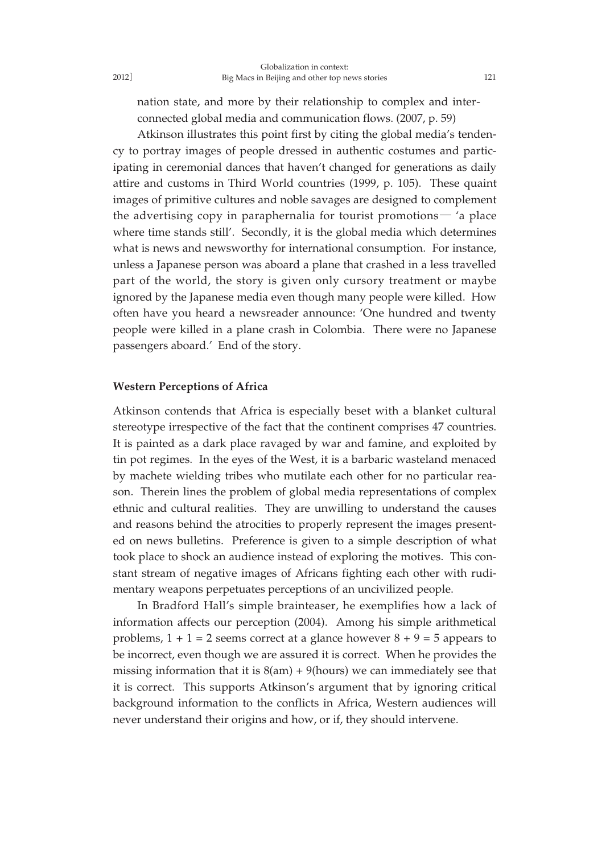nation state, and more by their relationship to complex and interconnected global media and communication flows. (2007, p. 59)

Atkinson illustrates this point first by citing the global media's tendency to portray images of people dressed in authentic costumes and participating in ceremonial dances that haven't changed for generations as daily attire and customs in Third World countries (1999, p. 105). These quaint images of primitive cultures and noble savages are designed to complement the advertising copy in paraphernalia for tourist promotions― 'a place where time stands still'. Secondly, it is the global media which determines what is news and newsworthy for international consumption. For instance, unless a Japanese person was aboard a plane that crashed in a less travelled part of the world, the story is given only cursory treatment or maybe ignored by the Japanese media even though many people were killed. How often have you heard a newsreader announce: 'One hundred and twenty people were killed in a plane crash in Colombia. There were no Japanese passengers aboard.' End of the story.

#### **Western Perceptions of Africa**

Atkinson contends that Africa is especially beset with a blanket cultural stereotype irrespective of the fact that the continent comprises 47 countries. It is painted as a dark place ravaged by war and famine, and exploited by tin pot regimes. In the eyes of the West, it is a barbaric wasteland menaced by machete wielding tribes who mutilate each other for no particular reason. Therein lines the problem of global media representations of complex ethnic and cultural realities. They are unwilling to understand the causes and reasons behind the atrocities to properly represent the images presented on news bulletins. Preference is given to a simple description of what took place to shock an audience instead of exploring the motives. This constant stream of negative images of Africans fighting each other with rudimentary weapons perpetuates perceptions of an uncivilized people.

In Bradford Hall's simple brainteaser, he exemplifies how a lack of information affects our perception (2004). Among his simple arithmetical problems,  $1 + 1 = 2$  seems correct at a glance however  $8 + 9 = 5$  appears to be incorrect, even though we are assured it is correct. When he provides the missing information that it is  $8(am) + 9(hours)$  we can immediately see that it is correct. This supports Atkinson's argument that by ignoring critical background information to the conflicts in Africa, Western audiences will never understand their origins and how, or if, they should intervene.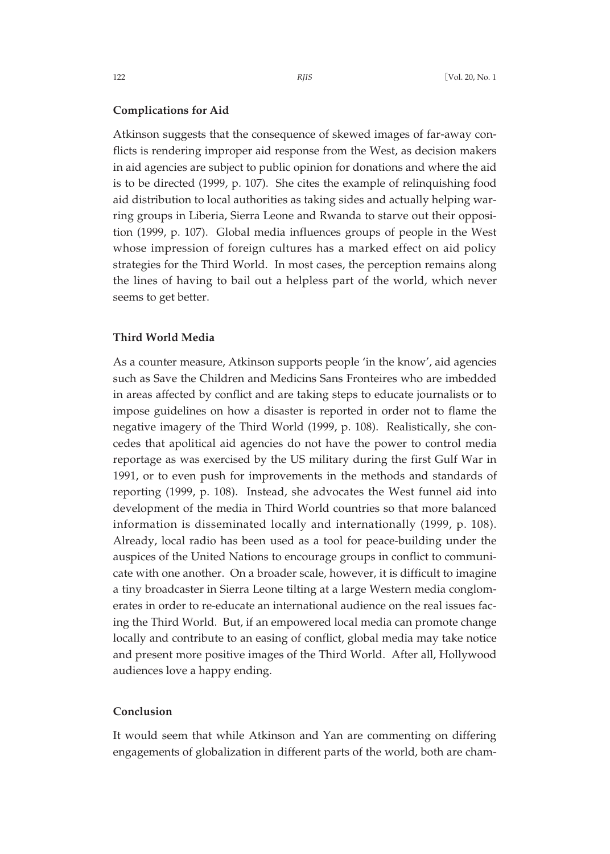#### **Complications for Aid**

Atkinson suggests that the consequence of skewed images of far-away conflicts is rendering improper aid response from the West, as decision makers in aid agencies are subject to public opinion for donations and where the aid is to be directed (1999, p. 107). She cites the example of relinquishing food aid distribution to local authorities as taking sides and actually helping warring groups in Liberia, Sierra Leone and Rwanda to starve out their opposition (1999, p. 107). Global media influences groups of people in the West whose impression of foreign cultures has a marked effect on aid policy strategies for the Third World. In most cases, the perception remains along the lines of having to bail out a helpless part of the world, which never seems to get better.

## **Third World Media**

As a counter measure, Atkinson supports people 'in the know', aid agencies such as Save the Children and Medicins Sans Fronteires who are imbedded in areas affected by conflict and are taking steps to educate journalists or to impose guidelines on how a disaster is reported in order not to flame the negative imagery of the Third World (1999, p. 108). Realistically, she concedes that apolitical aid agencies do not have the power to control media reportage as was exercised by the US military during the first Gulf War in 1991, or to even push for improvements in the methods and standards of reporting (1999, p. 108). Instead, she advocates the West funnel aid into development of the media in Third World countries so that more balanced information is disseminated locally and internationally (1999, p. 108). Already, local radio has been used as a tool for peace-building under the auspices of the United Nations to encourage groups in conflict to communicate with one another. On a broader scale, however, it is difficult to imagine a tiny broadcaster in Sierra Leone tilting at a large Western media conglomerates in order to re-educate an international audience on the real issues facing the Third World. But, if an empowered local media can promote change locally and contribute to an easing of conflict, global media may take notice and present more positive images of the Third World. After all, Hollywood audiences love a happy ending.

#### **Conclusion**

It would seem that while Atkinson and Yan are commenting on differing engagements of globalization in different parts of the world, both are cham-